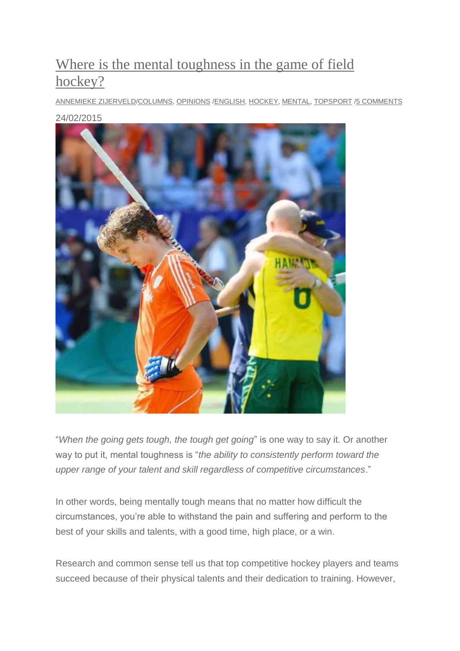# [Where is the mental toughness in the game of field](http://be-hockey.com/where-is-the-mental-toughness-in-the-game-of-field-hockey/)  [hockey?](http://be-hockey.com/where-is-the-mental-toughness-in-the-game-of-field-hockey/)

[ANNEMIEKE ZIJERVELD](http://be-hockey.com/author/statumentis/)[/COLUMNS,](http://be-hockey.com/category/columns/) [OPINIONS](http://be-hockey.com/category/opinions/) [/ENGLISH,](http://be-hockey.com/tag/english/) [HOCKEY,](http://be-hockey.com/tag/hockey/) [MENTAL,](http://be-hockey.com/tag/mental/) [TOPSPORT](http://be-hockey.com/tag/topsport/) [/5 COMMENTS](http://be-hockey.com/where-is-the-mental-toughness-in-the-game-of-field-hockey/#comments)

[24/02/2015](https://selfpass.files.wordpress.com/2015/02/netherlands-constantijn-jonker-reacts-after-losing-to-australia-at-their-mens-final-match-during-the-field-hockey-world-cup-in-the-hague-june-15-2014.jpg)



"*When the going gets tough, the tough get going*" is one way to say it. Or another way to put it, mental toughness is "*the ability to consistently perform toward the upper range of your talent and skill regardless of competitive circumstances*."

In other words, being mentally tough means that no matter how difficult the circumstances, you're able to withstand the pain and suffering and perform to the best of your skills and talents, with a good time, high place, or a win.

Research and common sense tell us that top competitive hockey players and teams succeed because of their physical talents and their dedication to training. However,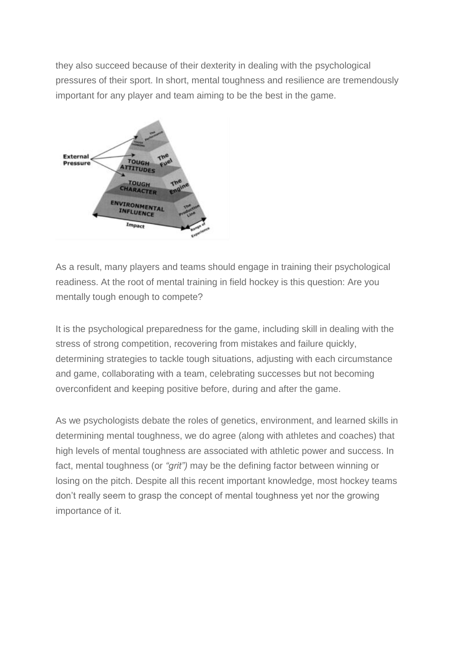they also succeed because of their dexterity in dealing with the psychological pressures of their sport. In short, mental toughness and resilience are tremendously important for any player and team aiming to be the best in the game.



As a result, many players and teams should engage in training their psychological readiness. At the root of mental training in field hockey is this question: Are you mentally tough enough to compete?

It is the psychological preparedness for the game, including skill in dealing with the stress of strong competition, recovering from mistakes and failure quickly, determining strategies to tackle tough situations, adjusting with each circumstance and game, collaborating with a team, celebrating successes but not becoming overconfident and keeping positive before, during and after the game.

As we psychologists debate the roles of genetics, environment, and learned skills in determining mental toughness, we do agree (along with athletes and coaches) that high levels of mental toughness are associated with athletic power and success. In fact, mental toughness (or *"grit")* may be the defining factor between winning or losing on the pitch. Despite all this recent important knowledge, most hockey teams don't really seem to grasp the concept of mental toughness yet nor the growing importance of it.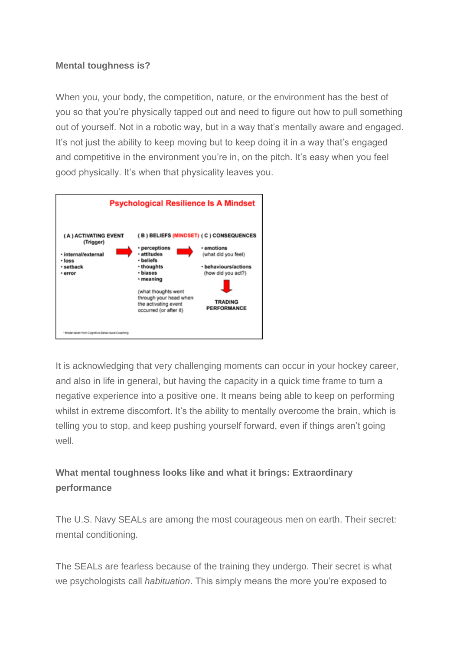#### **Mental toughness is?**

When you, your body, the competition, nature, or the environment has the best of you so that you're physically tapped out and need to figure out how to pull something out of yourself. Not in a robotic way, but in a way that's mentally aware and engaged. It's not just the ability to keep moving but to keep doing it in a way that's engaged and competitive in the environment you're in, on the pitch. It's easy when you feel good physically. It's when that physicality leaves you.



It is acknowledging that very challenging moments can occur in your hockey career, and also in life in general, but having the capacity in a quick time frame to turn a negative experience into a positive one. It means being able to keep on performing whilst in extreme discomfort. It's the ability to mentally overcome the brain, which is telling you to stop, and keep pushing yourself forward, even if things aren't going well.

## **What mental toughness looks like and what it brings: Extraordinary performance**

The U.S. Navy SEALs are among the most courageous men on earth. Their secret: mental conditioning.

The SEALs are fearless because of the training they undergo. Their secret is what we psychologists call *habituation*. This simply means the more you're exposed to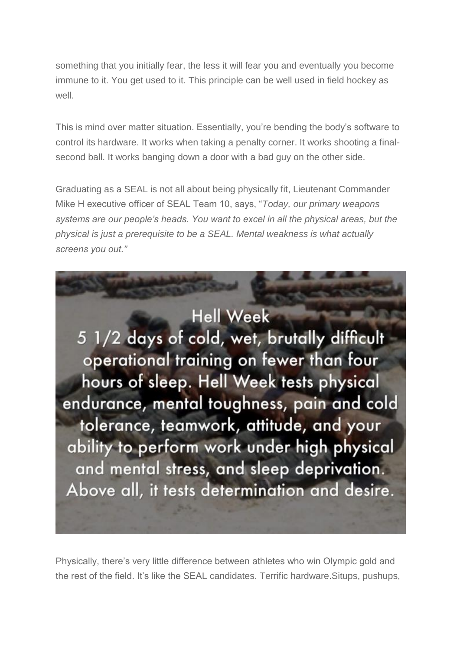something that you initially fear, the less it will fear you and eventually you become immune to it. You get used to it. This principle can be well used in field hockey as well.

This is mind over matter situation. Essentially, you're bending the body's software to control its hardware. It works when taking a penalty corner. It works shooting a finalsecond ball. It works banging down a door with a bad guy on the other side.

Graduating as a SEAL is not all about being physically fit, Lieutenant Commander Mike H executive officer of SEAL Team 10, says, "*Today, our primary weapons systems are our people's heads. You want to excel in all the physical areas, but the physical is just a prerequisite to be a SEAL. Mental weakness is what actually screens you out."*



Physically, there's very little difference between athletes who win Olympic gold and the rest of the field. It's like the SEAL candidates. Terrific hardware.Situps, pushups,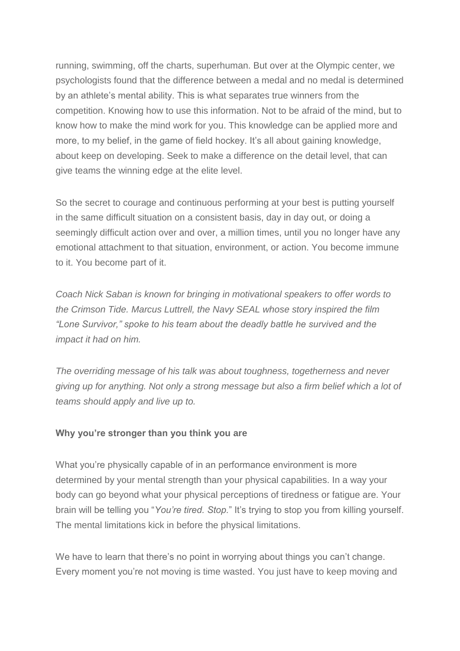running, swimming, off the charts, superhuman. But over at the Olympic center, we psychologists found that the difference between a medal and no medal is determined by an athlete's mental ability. This is what separates true winners from the competition. Knowing how to use this information. Not to be afraid of the mind, but to know how to make the mind work for you. This knowledge can be applied more and more, to my belief, in the game of field hockey. It's all about gaining knowledge, about keep on developing. Seek to make a difference on the detail level, that can give teams the winning edge at the elite level.

So the secret to courage and continuous performing at your best is putting yourself in the same difficult situation on a consistent basis, day in day out, or doing a seemingly difficult action over and over, a million times, until you no longer have any emotional attachment to that situation, environment, or action. You become immune to it. You become part of it.

*Coach Nick Saban is known for bringing in motivational speakers to offer words to the Crimson Tide. Marcus Luttrell, the Navy SEAL whose story inspired the film "Lone Survivor," spoke to his team about the deadly battle he survived and the impact it had on him.*

*The overriding message of his talk was about toughness, togetherness and never giving up for anything. Not only a strong message but also a firm belief which a lot of teams should apply and live up to.*

#### **Why you're stronger than you think you are**

What you're physically capable of in an performance environment is more determined by your mental strength than your physical capabilities. In a way your body can go beyond what your physical perceptions of tiredness or fatigue are. Your brain will be telling you "*You're tired. Stop.*" It's trying to stop you from killing yourself. The mental limitations kick in before the physical limitations.

We have to learn that there's no point in worrying about things you can't change. Every moment you're not moving is time wasted. You just have to keep moving and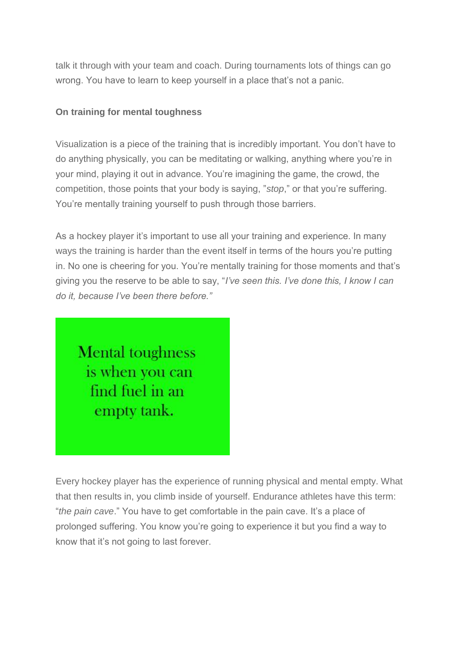talk it through with your team and coach. During tournaments lots of things can go wrong. You have to learn to keep yourself in a place that's not a panic.

### **On training for mental toughness**

Visualization is a piece of the training that is incredibly important. You don't have to do anything physically, you can be meditating or walking, anything where you're in your mind, playing it out in advance. You're imagining the game, the crowd, the competition, those points that your body is saying, "*stop*," or that you're suffering. You're mentally training yourself to push through those barriers.

As a hockey player it's important to use all your training and experience. In many ways the training is harder than the event itself in terms of the hours you're putting in. No one is cheering for you. You're mentally training for those moments and that's giving you the reserve to be able to say, "*I've seen this. I've done this, I know I can do it, because I've been there before."*

**Mental toughness** is when you can find fuel in an empty tank.

Every hockey player has the experience of running physical and mental empty. What that then results in, you climb inside of yourself. Endurance athletes have this term: "*the pain cave*." You have to get comfortable in the pain cave. It's a place of prolonged suffering. You know you're going to experience it but you find a way to know that it's not going to last forever.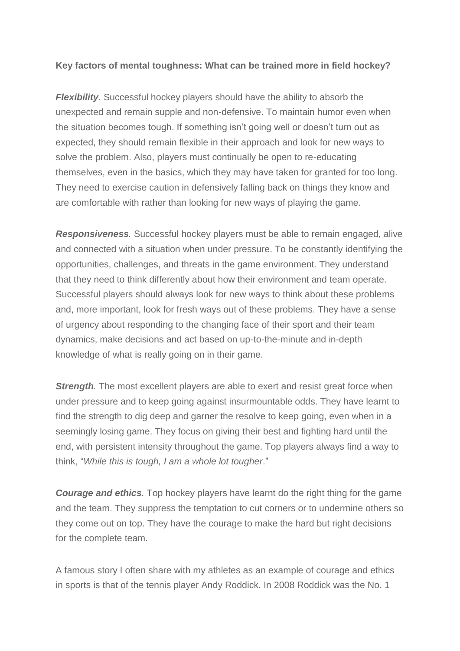#### **Key factors of mental toughness: What can be trained more in field hockey?**

*Flexibility*. Successful hockey players should have the ability to absorb the unexpected and remain supple and non-defensive. To maintain humor even when the situation becomes tough. If something isn't going well or doesn't turn out as expected, they should remain flexible in their approach and look for new ways to solve the problem. Also, players must continually be open to re-educating themselves, even in the basics, which they may have taken for granted for too long. They need to exercise caution in defensively falling back on things they know and are comfortable with rather than looking for new ways of playing the game.

*Responsiveness.* Successful hockey players must be able to remain engaged, alive and connected with a situation when under pressure. To be constantly identifying the opportunities, challenges, and threats in the game environment. They understand that they need to think differently about how their environment and team operate. Successful players should always look for new ways to think about these problems and, more important, look for fresh ways out of these problems. They have a sense of urgency about responding to the changing face of their sport and their team dynamics, make decisions and act based on up-to-the-minute and in-depth knowledge of what is really going on in their game.

*Strength*. The most excellent players are able to exert and resist great force when under pressure and to keep going against insurmountable odds. They have learnt to find the strength to dig deep and garner the resolve to keep going, even when in a seemingly losing game. They focus on giving their best and fighting hard until the end, with persistent intensity throughout the game. Top players always find a way to think, "*While this is tough, I am a whole lot tougher*."

*Courage and ethics.* Top hockey players have learnt do the right thing for the game and the team. They suppress the temptation to cut corners or to undermine others so they come out on top. They have the courage to make the hard but right decisions for the complete team.

A famous story I often share with my athletes as an example of courage and ethics in sports is that of the tennis player Andy Roddick. In 2008 Roddick was the No. 1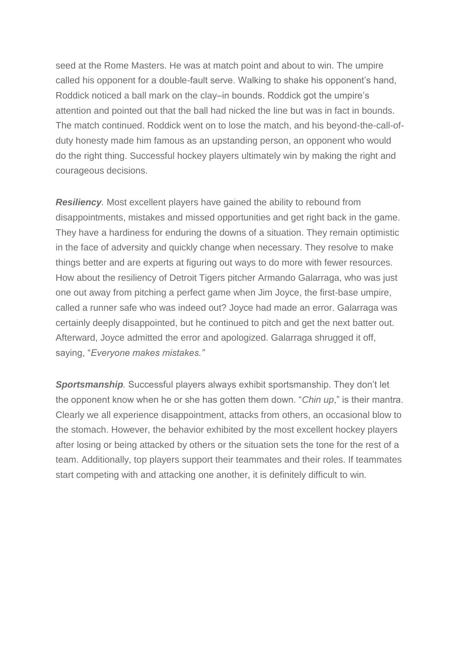seed at the Rome Masters. He was at match point and about to win. The umpire called his opponent for a double-fault serve. Walking to shake his opponent's hand, Roddick noticed a ball mark on the clay–in bounds. Roddick got the umpire's attention and pointed out that the ball had nicked the line but was in fact in bounds. The match continued. Roddick went on to lose the match, and his beyond-the-call-ofduty honesty made him famous as an upstanding person, an opponent who would do the right thing. Successful hockey players ultimately win by making the right and courageous decisions.

*Resiliency.* Most excellent players have gained the ability to rebound from disappointments, mistakes and missed opportunities and get right back in the game. They have a hardiness for enduring the downs of a situation. They remain optimistic in the face of adversity and quickly change when necessary. They resolve to make things better and are experts at figuring out ways to do more with fewer resources. How about the resiliency of Detroit Tigers pitcher Armando Galarraga, who was just one out away from pitching a perfect game when Jim Joyce, the first-base umpire, called a runner safe who was indeed out? Joyce had made an error. Galarraga was certainly deeply disappointed, but he continued to pitch and get the next batter out. Afterward, Joyce admitted the error and apologized. Galarraga shrugged it off, saying, "*Everyone makes mistakes."*

*Sportsmanship.* Successful players always exhibit sportsmanship. They don't let the opponent know when he or she has gotten them down. "*Chin up*," is their mantra. Clearly we all experience disappointment, attacks from others, an occasional blow to the stomach. However, the behavior exhibited by the most excellent hockey players after losing or being attacked by others or the situation sets the tone for the rest of a team. Additionally, top players support their teammates and their roles. If teammates start competing with and attacking one another, it is definitely difficult to win.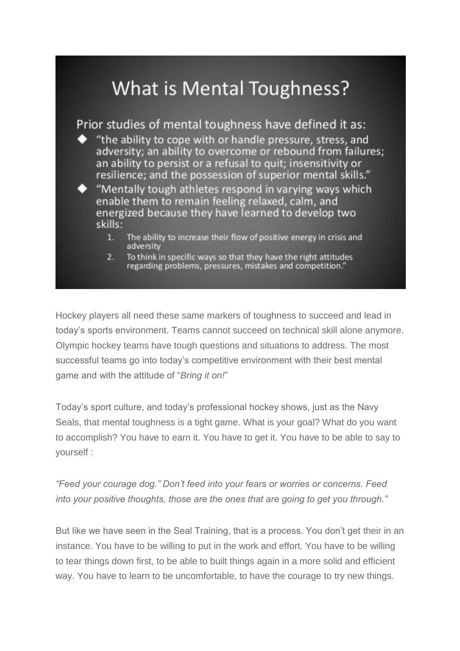

Hockey players all need these same markers of toughness to succeed and lead in today's sports environment. Teams cannot succeed on technical skill alone anymore. Olympic hockey teams have tough questions and situations to address. The most successful teams go into today's competitive environment with their best mental game and with the attitude of "*Bring it on!*"

Today's sport culture, and today's professional hockey shows, just as the Navy Seals, that mental toughness is a tight game. What is your goal? What do you want to accomplish? You have to earn it. You have to get it. You have to be able to say to yourself :

*"Feed your courage dog." Don't feed into your fears or worries or concerns. Feed into your positive thoughts, those are the ones that are going to get you through."*

But like we have seen in the Seal Training, that is a process. You don't get their in an instance. You have to be willing to put in the work and effort. You have to be willing to tear things down first, to be able to built things again in a more solid and efficient way. You have to learn to be uncomfortable, to have the courage to try new things.